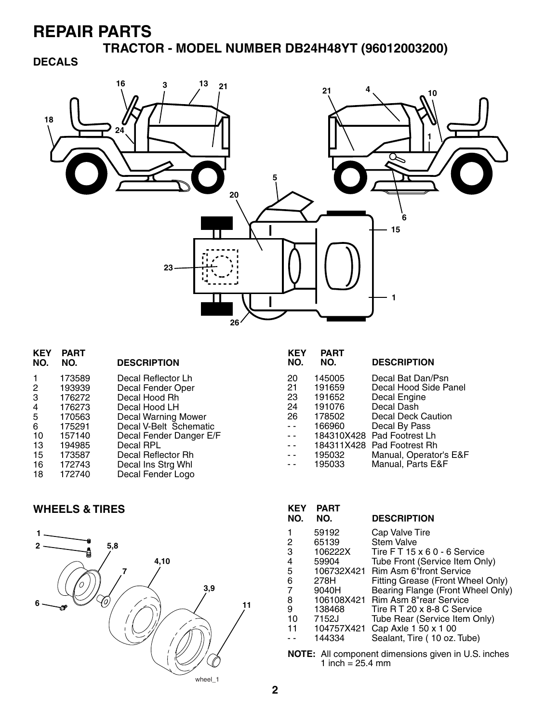**TRACTOR - MODEL NUMBER DB24H48YT (96012003200)**

### **DECALS**



| <b>KEY</b><br>NO. | <b>PART</b><br>NO. | <b>DESCRIPTION</b>         |
|-------------------|--------------------|----------------------------|
|                   | 173589             | Decal Reflector Lh         |
| 2                 | 193939             | Decal Fender Oper          |
| 3                 | 176272             | Decal Hood Rh              |
| 4                 | 176273             | Decal Hood LH              |
| 5                 | 170563             | <b>Decal Warning Mower</b> |
| 6                 | 175291             | Decal V-Belt Schematic     |
| 10                | 157140             | Decal Fender Danger E/F    |
| 13                | 194985             | Decal RPL                  |
| 15                | 173587             | Decal Reflector Rh         |
| 16                | 172743             | Decal Ins Strg Whl         |
| 18                | 172740             | Decal Fender Logo          |

#### **KEY PART NO. NO. DESCRIPTION** 20 145005 Decal Bat Dan/Psn 21 191659 Decal Hood Side Panel<br>23 191652 Decal Engine 23 191652 Decal Engine 24 191076 Decal Dash 178502 Decal Deck Caution<br>166960 Decal By Pass - - 166960 Decal By Pass -- 184310X428 Pad Footrest Lh -- 184311X428 Pad Footrest Rh - - 195032 Manual, Operator's E&F - - 195033 Manual, Parts E&F

#### **KEY PART NO. NO. DESCRIPTION** 1 59192 Cap Valve Tire<br>2 65139 Stem Valve 2 65139 Stem Valve<br>3 106222X Tire FT 15 3 106222X Tire F T 15 x 6 0 - 6 Service 4 59904 Tube Front (Service Item Only)<br>5 106732X421 Rim Asm 6"front Service 5 106732X421 Rim Asm 6"front Service 6 278H Fitting Grease (Front Wheel Only) 7 9040H Bearing Flange (Front Wheel Only) 8 106108X421 Rim Asm 8"rear Service<br>9 138468 Tire R T 20 x 8-8 C Serv 9 138468 Tire R T 20 x 8-8 C Service<br>10 7152J Tube Rear (Service Item Or Tube Rear (Service Item Only) 11 104757X421 Cap Axle 1 50 x 1 00<br>-- 144334 Sealant, Tire ( 10 oz. - - 144334 Sealant, Tire ( 10 oz. Tube)

**NOTE:** All component dimensions given in U.S. inches 1 inch =  $25.4 \, \text{mm}$ 

### **WHEELS & TIRES**

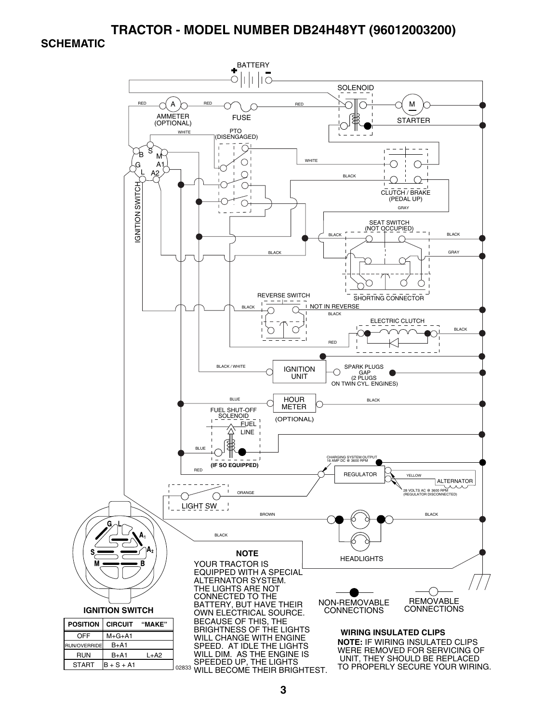#### **TRACTOR - MODEL NUMBER DB24H48YT (96012003200)**

#### **SCHEMATIC**

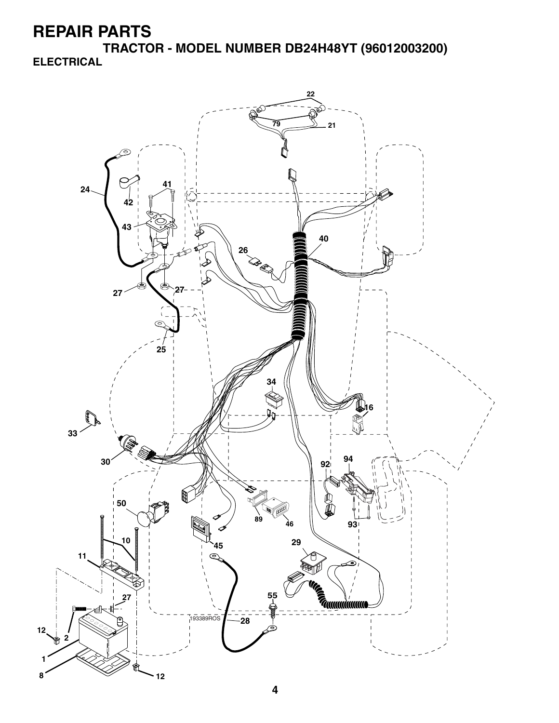**TRACTOR - MODEL NUMBER DB24H48YT (96012003200) ELECTRICAL**

![](_page_2_Figure_2.jpeg)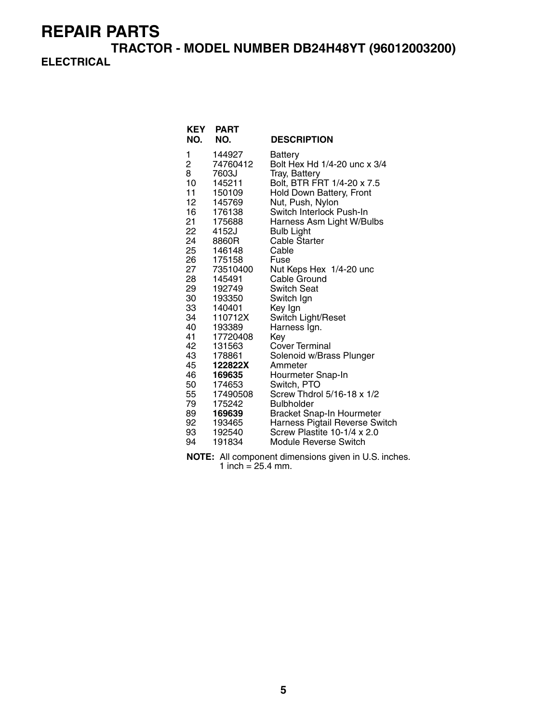**TRACTOR - MODEL NUMBER DB24H48YT (96012003200) ELECTRICAL**

| <b>KEY</b><br>NO. | <b>PART</b><br>NO. | <b>DESCRIPTION</b>                                            |
|-------------------|--------------------|---------------------------------------------------------------|
| 1                 | 144927             | Battery                                                       |
| 2                 | 74760412           | Bolt Hex Hd 1/4-20 unc x 3/4                                  |
| 8                 | 7603J              | Tray, Battery                                                 |
| 10                | 145211             | Bolt, BTR FRT 1/4-20 x 7.5                                    |
| 11                | 150109             | Hold Down Battery, Front                                      |
| 12                | 145769             | Nut, Push, Nylon                                              |
| 16                | 176138             | Switch Interlock Push-In                                      |
| 21                | 175688             | Harness Asm Light W/Bulbs                                     |
| 22                | 4152J              | <b>Bulb Light</b>                                             |
| 24                | 8860R              | <b>Cable Starter</b>                                          |
| 25                | 146148             | Cable                                                         |
| 26                | 175158             | Fuse                                                          |
| 27                | 73510400           | Nut Keps Hex 1/4-20 unc                                       |
| 28                | 145491             | Cable Ground                                                  |
| 29                | 192749             | Switch Seat                                                   |
| 30                | 193350             | Switch Ign                                                    |
| 33                | 140401             | Key Ign                                                       |
| 34                | 110712X            | Switch Light/Reset                                            |
| 40                | 193389             | Harness Ign.                                                  |
| 41                | 17720408           | Key                                                           |
| 42                | 131563             | Cover Terminal                                                |
| 43                | 178861             | Solenoid w/Brass Plunger                                      |
| 45                | 122822X            | Ammeter                                                       |
| 46                | 169635             | Hourmeter Snap-In                                             |
| 50                | 174653             | Switch, PTO                                                   |
| 55                | 17490508           | Screw Thdrol 5/16-18 x 1/2                                    |
| 79                | 175242             | <b>Bulbholder</b>                                             |
| 89                | 169639             | Bracket Snap-In Hourmeter                                     |
| 92<br>93          | 193465<br>192540   | Harness Pigtail Reverse Switch<br>Screw Plastite 10-1/4 x 2.0 |
|                   |                    |                                                               |
| 94                | 191834             | <b>Module Reverse Switch</b>                                  |

**NOTE:** All component dimensions given in U.S. inches. 1 inch =  $25.4$  mm.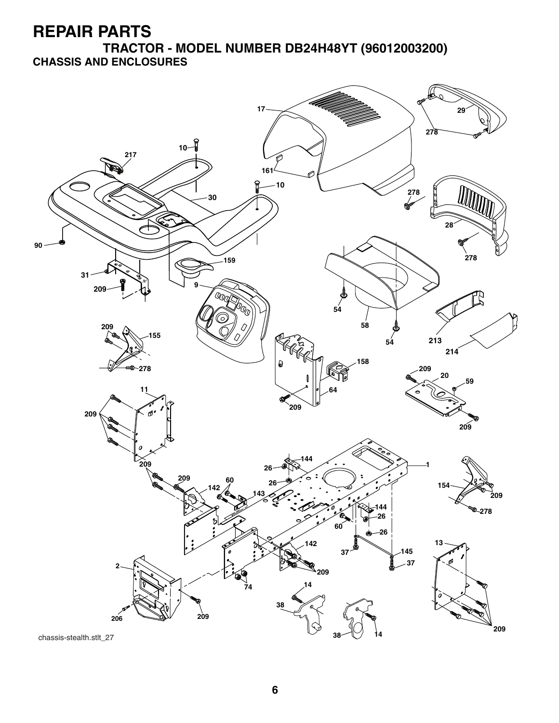**TRACTOR - MODEL NUMBER DB24H48YT (96012003200) CHASSIS AND ENCLOSURES**

![](_page_4_Figure_2.jpeg)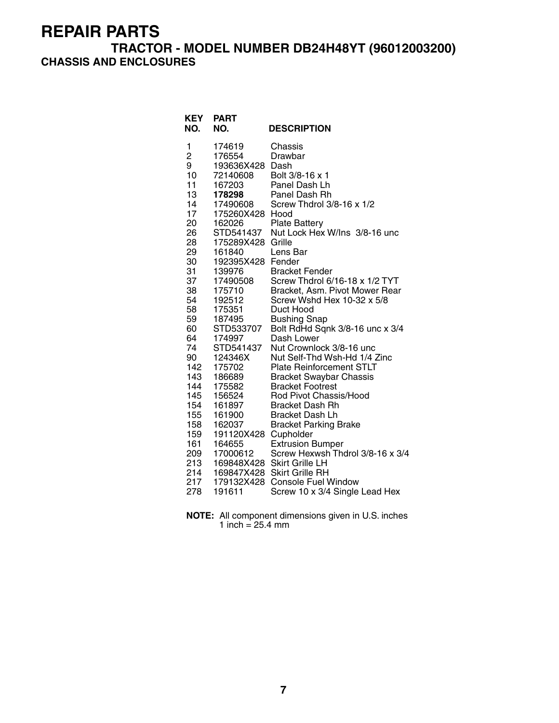## **TRACTOR - MODEL NUMBER DB24H48YT (96012003200) CHASSIS AND ENCLOSURES**

| <b>KEY</b><br>NO. | <b>PART</b><br>NO.  | <b>DESCRIPTION</b>                                          |
|-------------------|---------------------|-------------------------------------------------------------|
| 1                 | 174619              | Chassis                                                     |
| $\overline{c}$    | 176554              | Drawbar                                                     |
| 9                 | 193636X428 Dash     |                                                             |
| 10                | 72140608            | Bolt 3/8-16 x 1                                             |
| 11<br>13          | 167203<br>178298    | Panel Dash Lh<br>Panel Dash Rh                              |
| 14                | 17490608            | Screw Thdrol 3/8-16 x 1/2                                   |
| 17                | 175260X428          | Hood                                                        |
| 20                | 162026              | <b>Plate Battery</b>                                        |
| 26                | STD541437           | Nut Lock Hex W/Ins 3/8-16 unc                               |
| 28                | 175289X428          | Grille                                                      |
| 29                | 161840              | Lens Bar                                                    |
| 30                | 192395X428          | Fender                                                      |
| 31                | 139976              | <b>Bracket Fender</b>                                       |
| 37                | 17490508            | Screw Thdrol 6/16-18 x 1/2 TYT                              |
| 38                | 175710              | Bracket, Asm. Pivot Mower Rear                              |
| 54                | 192512              | Screw Wshd Hex 10-32 x 5/8                                  |
| 58                | 175351              | Duct Hood                                                   |
| 59<br>60          | 187495<br>STD533707 | <b>Bushing Snap</b><br>Bolt RdHd Sqnk 3/8-16 unc x 3/4      |
| 64                | 174997              | Dash Lower                                                  |
| 74                | STD541437           | Nut Crownlock 3/8-16 unc                                    |
| 90                | 124346X             | Nut Self-Thd Wsh-Hd 1/4 Zinc                                |
| 142               | 175702              | <b>Plate Reinforcement STLT</b>                             |
| 143               | 186689              | <b>Bracket Swaybar Chassis</b>                              |
| 144               | 175582              | <b>Bracket Footrest</b>                                     |
| 145               | 156524              | Rod Pivot Chassis/Hood                                      |
| 154               | 161897              | <b>Bracket Dash Rh</b>                                      |
| 155               | 161900              | <b>Bracket Dash Lh</b>                                      |
| 158               | 162037              | <b>Bracket Parking Brake</b>                                |
| 159<br>161        | 191120X428          | Cupholder                                                   |
| 209               | 164655<br>17000612  | <b>Extrusion Bumper</b><br>Screw Hexwsh Thdrol 3/8-16 x 3/4 |
| 213               |                     | 169848X428 Skirt Grille LH                                  |
| 214               |                     | 169847X428 Skirt Grille RH                                  |
| 217               |                     | 179132X428 Console Fuel Window                              |
| 278               | 191611              | Screw 10 x 3/4 Single Lead Hex                              |

**NOTE:** All component dimensions given in U.S. inches 1 inch = 25.4 mm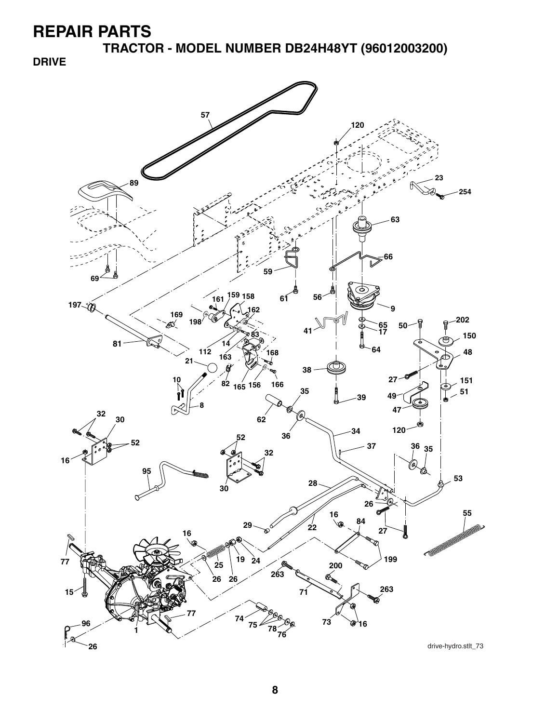**TRACTOR - MODEL NUMBER DB24H48YT (96012003200)**

**DRIVE**

![](_page_6_Figure_3.jpeg)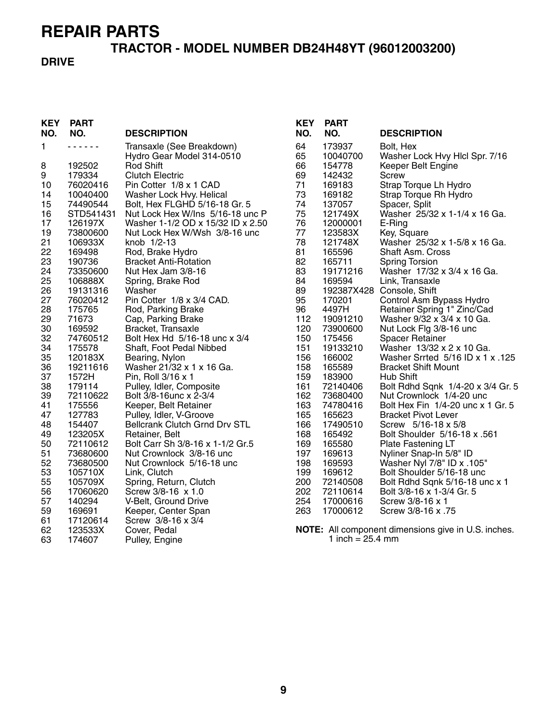# **TRACTOR - MODEL NUMBER DB24H48YT (96012003200)**

### **DRIVE**

| <b>KEY</b><br>NO. | <b>PART</b><br>NO. | <b>DESCRIPTION</b>                   | <b>KEY</b><br>NO. | <b>PART</b><br>NO.           | <b>DESCRIPTION</b>                                         |
|-------------------|--------------------|--------------------------------------|-------------------|------------------------------|------------------------------------------------------------|
| 1                 | .                  | Transaxle (See Breakdown)            | 64                | 173937                       | Bolt, Hex                                                  |
|                   |                    | Hydro Gear Model 314-0510            | 65                | 10040700                     | Washer Lock Hvy Hlcl Spr. 7/16                             |
| 8                 | 192502             | Rod Shift                            | 66                | 154778                       | Keeper Belt Engine                                         |
| 9                 | 179334             | <b>Clutch Electric</b>               | 69                | 142432                       | Screw                                                      |
| 10                | 76020416           | Pin Cotter 1/8 x 1 CAD               | 71                | 169183                       | Strap Torque Lh Hydro                                      |
| 14                | 10040400           | Washer Lock Hvy. Helical             | 73                | 169182                       | Strap Torque Rh Hydro                                      |
| 15                | 74490544           | Bolt, Hex FLGHD 5/16-18 Gr. 5        | 74                | 137057                       | Spacer, Split                                              |
| 16                | STD541431          | Nut Lock Hex W/Ins 5/16-18 unc P     | 75                | 121749X                      | Washer 25/32 x 1-1/4 x 16 Ga.                              |
| 17                | 126197X            | Washer 1-1/2 OD x 15/32 ID x 2.50    | 76                | 12000001                     | E-Ring                                                     |
| 19                | 73800600           | Nut Lock Hex W/Wsh 3/8-16 unc        | 77                | 123583X                      | Key, Square                                                |
| 21                | 106933X            | knob 1/2-13                          | 78                | 121748X                      | Washer 25/32 x 1-5/8 x 16 Ga.                              |
| 22                | 169498             | Rod, Brake Hydro                     | 81                | 165596                       | Shaft Asm. Cross                                           |
| 23                | 190736             | <b>Bracket Anti-Rotation</b>         | 82                | 165711                       | <b>Spring Torsion</b>                                      |
| 24                | 73350600           | Nut Hex Jam 3/8-16                   | 83                | 19171216                     | Washer 17/32 x 3/4 x 16 Ga.                                |
| 25                | 106888X            | Spring, Brake Rod                    | 84                | 169594                       | Link, Transaxle                                            |
| 26                | 19131316           | Washer                               | 89                |                              | 192387X428 Console, Shift                                  |
| 27                | 76020412           | Pin Cotter 1/8 x 3/4 CAD.            | 95                | 170201                       | Control Asm Bypass Hydro                                   |
| 28                | 175765             | Rod, Parking Brake                   | 96                | 4497H                        | Retainer Spring 1" Zinc/Cad                                |
| 29                | 71673              | Cap, Parking Brake                   | 112               | 19091210                     | Washer 9/32 x 3/4 x 10 Ga.                                 |
| 30                | 169592             | Bracket, Transaxle                   | 120               | 73900600                     | Nut Lock Flg 3/8-16 unc                                    |
| 32                | 74760512           | Bolt Hex Hd 5/16-18 unc x 3/4        | 150               | 175456                       | <b>Spacer Retainer</b>                                     |
| 34                | 175578             | Shaft, Foot Pedal Nibbed             | 151               | 19133210                     | Washer 13/32 x 2 x 10 Ga.                                  |
| 35                | 120183X            | Bearing, Nylon                       | 156               | 166002                       | Washer Srrted 5/16 ID x 1 x .125                           |
| 36                | 19211616           | Washer 21/32 x 1 x 16 Ga.            | 158               | 165589                       | <b>Bracket Shift Mount</b>                                 |
| 37                | 1572H              | Pin, Roll 3/16 x 1                   | 159               | 183900                       | Hub Shift                                                  |
| 38                | 179114             | Pulley, Idler, Composite             | 161               | 72140406                     | Bolt Rdhd Sqnk 1/4-20 x 3/4 Gr. 5                          |
| 39                | 72110622           | Bolt 3/8-16unc x 2-3/4               | 162               | 73680400                     | Nut Crownlock 1/4-20 unc                                   |
| 41                | 175556             | Keeper, Belt Retainer                | 163               | 74780416                     | Bolt Hex Fin 1/4-20 unc x 1 Gr. 5                          |
| 47                | 127783             | Pulley, Idler, V-Groove              | 165               | 165623                       | <b>Bracket Pivot Lever</b>                                 |
| 48                | 154407             | <b>Bellcrank Clutch Grnd Drv STL</b> | 166               | 17490510                     | Screw 5/16-18 x 5/8                                        |
| 49                | 123205X            | Retainer, Belt                       | 168               | 165492                       | Bolt Shoulder 5/16-18 x .561                               |
| 50                | 72110612           | Bolt Carr Sh 3/8-16 x 1-1/2 Gr.5     | 169               | 165580                       | Plate Fastening LT                                         |
| 51                | 73680600           | Nut Crownlock 3/8-16 unc             | 197               | 169613                       | Nyliner Snap-In 5/8" ID                                    |
| 52                | 73680500           | Nut Crownlock 5/16-18 unc            | 198               | 169593                       | Washer Nyl 7/8" ID x .105"                                 |
| 53                | 105710X            | Link, Clutch                         | 199               | 169612                       | Bolt Shoulder 5/16-18 unc                                  |
| 55                | 105709X            | Spring, Return, Clutch               | 200               | 72140508                     | Bolt Rdhd Sqnk 5/16-18 unc x 1                             |
| 56                | 17060620           | Screw 3/8-16 x 1.0                   | 202               | 72110614                     | Bolt 3/8-16 x 1-3/4 Gr. 5                                  |
| 57                | 140294             | V-Belt, Ground Drive                 | 254               | 17000616                     | Screw 3/8-16 x 1                                           |
| 59                | 169691             | Keeper, Center Span                  | 263               | 17000612                     | Screw 3/8-16 x .75                                         |
| 61                | 17120614           | Screw 3/8-16 x 3/4                   |                   |                              |                                                            |
| 62                | 123533X            | Cover, Pedal                         |                   |                              | <b>NOTE:</b> All component dimensions give in U.S. inches. |
| 63                | 174607             | Pulley, Engine                       |                   | 1 inch = $25.4 \, \text{mm}$ |                                                            |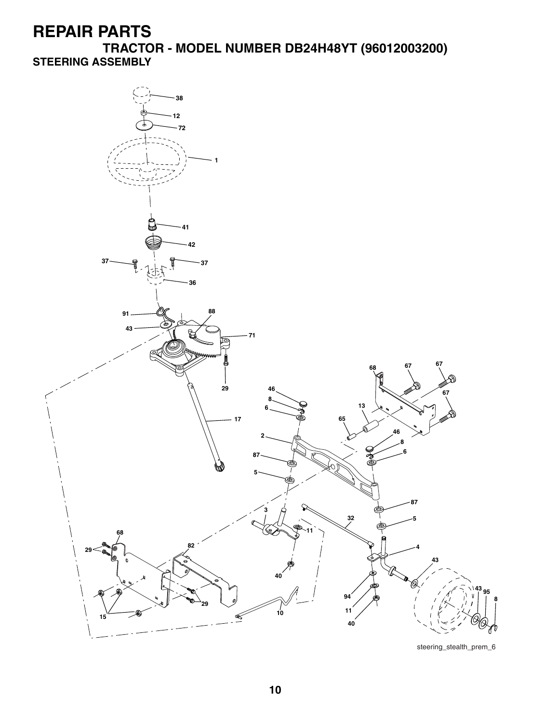**TRACTOR - MODEL NUMBER DB24H48YT (96012003200) STEERING ASSEMBLY**

![](_page_8_Figure_2.jpeg)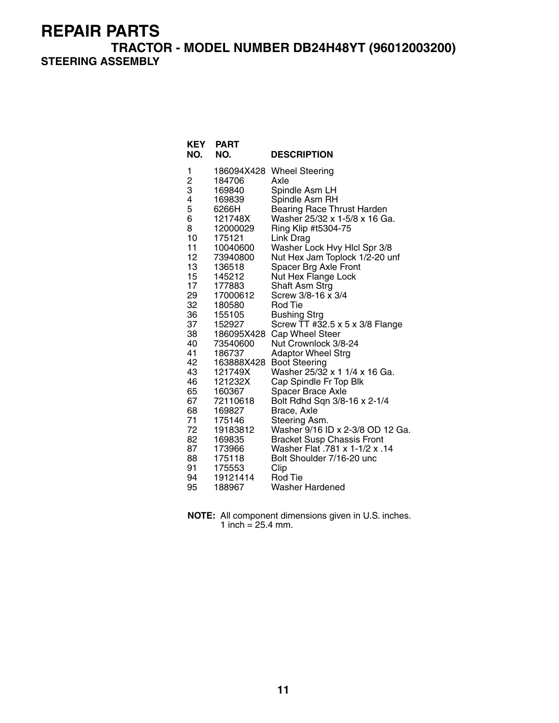**TRACTOR - MODEL NUMBER DB24H48YT (96012003200) STEERING ASSEMBLY**

| <b>KEY</b><br>NO. | <b>PART</b><br>NO. | <b>DESCRIPTION</b>                                                  |
|-------------------|--------------------|---------------------------------------------------------------------|
| 1                 | 186094X428         | <b>Wheel Steering</b>                                               |
| $\frac{2}{3}$     | 184706             | Axle                                                                |
|                   | 169840             | Spindle Asm LH                                                      |
| 4                 | 169839             | Spindle Asm RH                                                      |
| 5                 | 6266H              | <b>Bearing Race Thrust Harden</b>                                   |
| 6                 | 121748X            | Washer 25/32 x 1-5/8 x 16 Ga.                                       |
| 8                 | 12000029           | Ring Klip #t5304-75                                                 |
| 10                | 175121             | Link Drag                                                           |
| 11                | 10040600           | Washer Lock Hvy Hlcl Spr 3/8                                        |
| 12                | 73940800           | Nut Hex Jam Toplock 1/2-20 unf                                      |
| 13<br>15          | 136518<br>145212   | Spacer Brg Axle Front<br>Nut Hex Flange Lock                        |
| 17                | 177883             | Shaft Asm Strg                                                      |
| 29                | 17000612           | Screw 3/8-16 x 3/4                                                  |
| 32                | 180580             | Rod Tie                                                             |
| 36                | 155105             | Bushing Strg                                                        |
| 37                | 152927             | Screw TT #32.5 x 5 x 3/8 Flange                                     |
| 38                | 186095X428         | Cap Wheel Steer                                                     |
| 40                | 73540600           | Nut Crownlock 3/8-24                                                |
| 41                | 186737             | <b>Adaptor Wheel Strg</b>                                           |
| 42                | 163888X428         | <b>Boot Steering</b>                                                |
| 43                | 121749X            | Washer 25/32 x 1 1/4 x 16 Ga.                                       |
| 46                | 121232X            | Cap Spindle Fr Top Blk                                              |
| 65                | 160367             | <b>Spacer Brace Axle</b>                                            |
| 67                | 72110618           | Bolt Rdhd Sqn 3/8-16 x 2-1/4                                        |
| 68                | 169827             | Brace, Axle                                                         |
| 71<br>72          | 175146             | Steering Asm.                                                       |
|                   | 19183812           | Washer 9/16 ID x 2-3/8 OD 12 Ga.                                    |
| 82<br>87          | 169835<br>173966   | <b>Bracket Susp Chassis Front</b><br>Washer Flat .781 x 1-1/2 x .14 |
| 88                | 175118             | Bolt Shoulder 7/16-20 unc                                           |
| 91                | 175553             | Clip                                                                |
| 94                | 19121414           | Rod Tie                                                             |
| 95                | 188967             | Washer Hardened                                                     |

**NOTE:** All component dimensions given in U.S. inches. 1 inch =  $25.4$  mm.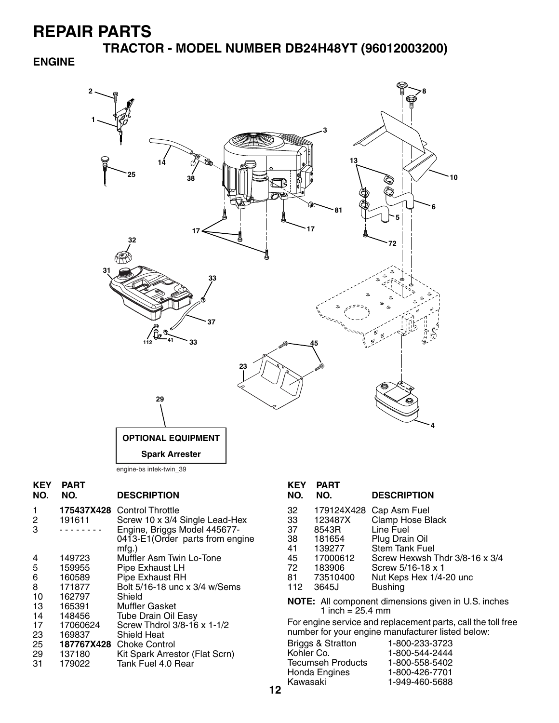**TRACTOR - MODEL NUMBER DB24H48YT (96012003200)**

## **ENGINE**

![](_page_10_Figure_3.jpeg)

| <b>KEY</b><br>NO. | <b>PART</b><br>NO. | <b>DESCRIPTION</b>              | <b>KEY</b><br>NO. | <b>PART</b><br>NO.         | <b>DESCRIPTION</b>                                           |
|-------------------|--------------------|---------------------------------|-------------------|----------------------------|--------------------------------------------------------------|
|                   |                    | 175437X428 Control Throttle     | 32                | 179124X428                 | Cap Asm Fuel                                                 |
| $\overline{c}$    | 191611             | Screw 10 x 3/4 Single Lead-Hex  | 33                | 123487X                    | Clamp Hose Black                                             |
| 3                 |                    | Engine, Briggs Model 445677-    | 37                | 8543R                      | Line Fuel                                                    |
|                   |                    | 0413-E1(Order parts from engine | 38                | 181654                     | Plug Drain Oil                                               |
|                   |                    | $mfg.$ )                        | 41                | 139277                     | Stem Tank Fuel                                               |
| 4                 | 149723             | Muffler Asm Twin Lo-Tone        | 45                | 17000612                   | Screw Hexwsh Thdr 3/8-16 x 3/4                               |
| 5                 | 159955             | Pipe Exhaust LH                 | 72                | 183906                     | Screw 5/16-18 x 1                                            |
| 6                 | 160589             | Pipe Exhaust RH                 | 81                | 73510400                   | Nut Keps Hex 1/4-20 unc                                      |
| 8                 | 171877             | Bolt 5/16-18 unc x 3/4 w/Sems   | 112               | 3645J                      | <b>Bushing</b>                                               |
| 10                | 162797             | Shield                          |                   |                            |                                                              |
| 13                | 165391             | <b>Muffler Gasket</b>           |                   | 1 inch = $25.4 \text{ mm}$ | <b>NOTE:</b> All component dimensions given in U.S. inches   |
| 14                | 148456             | <b>Tube Drain Oil Easy</b>      |                   |                            |                                                              |
| 17                | 17060624           | Screw Thdrol 3/8-16 x 1-1/2     |                   |                            | For engine service and replacement parts, call the toll free |
| 23                | 169837             | <b>Shield Heat</b>              |                   |                            | number for your engine manufacturer listed below:            |
| 25                | 187767X428         | <b>Choke Control</b>            |                   | Briggs & Stratton          | 1-800-233-3723                                               |
| 29                | 137180             | Kit Spark Arrestor (Flat Scrn)  | Kohler Co.        |                            | 1-800-544-2444                                               |
| 31                | 179022             | Tank Fuel 4.0 Rear              |                   | Tecumseh Products          | 1-800-558-5402                                               |
|                   |                    |                                 |                   | Honda Engines              | 1-800-426-7701                                               |
|                   |                    |                                 | Kawasaki          |                            | 1-949-460-5688                                               |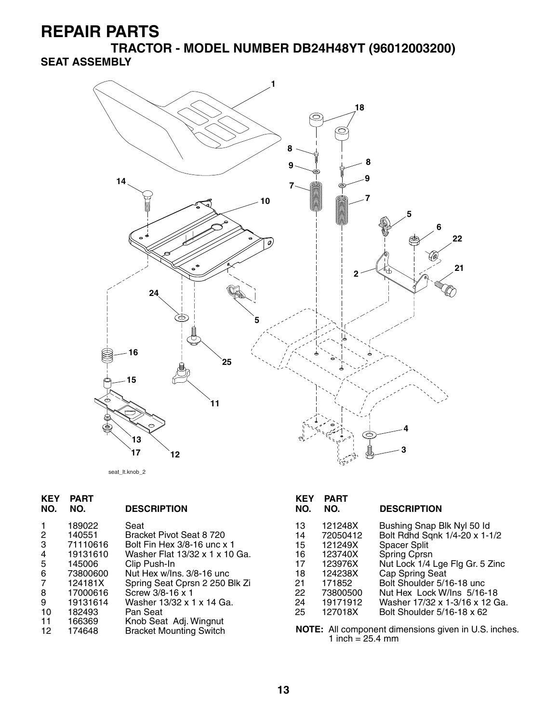**TRACTOR - MODEL NUMBER DB24H48YT (96012003200) SEAT ASSEMBLY**

![](_page_11_Figure_2.jpeg)

**KEY PART DESCRIPTION KEY PART**  1 189022 Seat<br>
2 140551 Brack<br>
3 71110616 Bolt I<br>
4 19131610 Wask<br>
5 145006 Clip I<br>
6 73800600 Nut F<br>
7 124181X Sprin 140551 Bracket Pivot Seat 8 720<br>71110616 Bolt Fin Hex 3/8-16 unc x 71110616 Bolt Fin Hex 3/8-16 unc x 1<br>19131610 Washer Flat 13/32 x 1 x 10 4 19131610 Washer Flat 13/32 x 1 x 10 Ga. 145006 Clip Push-In<br>73800600 Nut Hex w/In 6 73800600 Nut Hex w/Ins. 3/8-16 unc 7 124181X Spring Seat Cprsn 2 250 Blk Zi 8 17000616 Screw 3/8-16 x 1 9 17000616 Screw 3/8-16 x 1<br>9 19131614 Washer 13/32 x 1 x 14 Ga.<br>10 182493 Pan Seat 10 182493 Pan Seat<br>11 166369 Knob Sea 11 166369 Knob Seat Adj. Wingnut 12 174648 Bracket Mounting Switch

| KEY<br>NO. | PART<br>NO. | <b>DESCRIPTION</b>              |
|------------|-------------|---------------------------------|
| 13         | 121248X     | Bushing Snap Blk Nyl 50 Id      |
| 14         | 72050412    | Bolt Rdhd Sqnk 1/4-20 x 1-1/2   |
| 15         | 121249X     | <b>Spacer Split</b>             |
| 16         | 123740X     | Spring Cprsn                    |
| 17         | 123976X     | Nut Lock 1/4 Lge Flg Gr. 5 Zinc |
| 18         | 124238X     | Cap Spring Seat                 |
| 21         | 171852      | Bolt Shoulder 5/16-18 unc       |
| 22         | 73800500    | Nut Hex Lock W/Ins 5/16-18      |
| 24         | 19171912    | Washer 17/32 x 1-3/16 x 12 Ga.  |
| 25         | 127018X     | Bolt Shoulder 5/16-18 x 62      |
|            |             | $\blacksquare$                  |

**NOTE:** All component dimensions given in U.S. inches. 1 inch =  $25.4 \text{ mm}$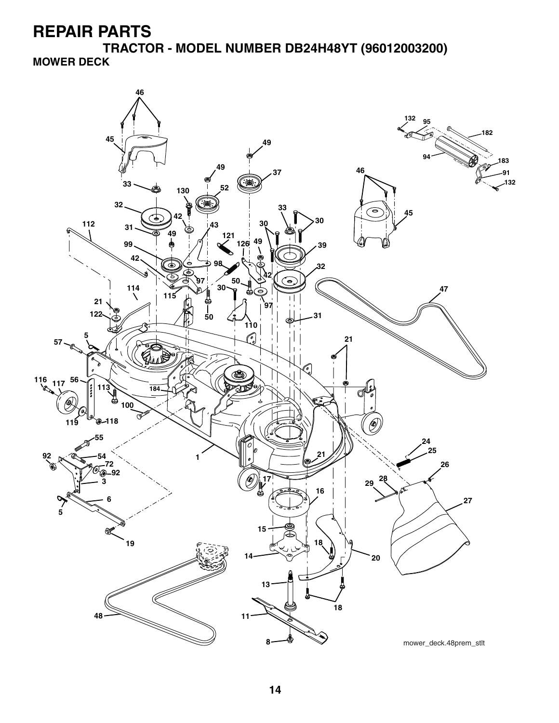**TRACTOR - MODEL NUMBER DB24H48YT (96012003200) MOWER DECK**

![](_page_12_Figure_2.jpeg)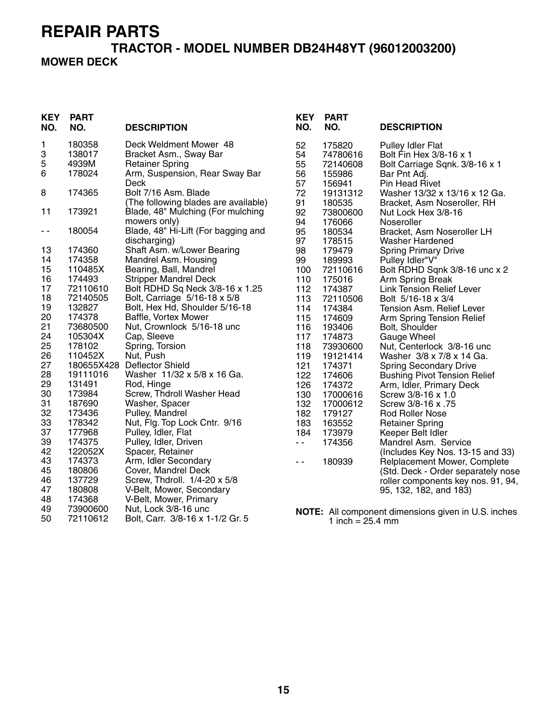#### **TRACTOR - MODEL NUMBER DB24H48YT (96012003200) MOWER DECK**

| <b>KEY</b><br>NO. | <b>PART</b><br>NO. | <b>DESCRIPTION</b>                                                        | <b>KEY</b><br>NO. | <b>PART</b><br>NO.           | <b>DESCRIPTION</b>                                  |
|-------------------|--------------------|---------------------------------------------------------------------------|-------------------|------------------------------|-----------------------------------------------------|
| 1                 | 180358             | Deck Weldment Mower 48                                                    | 52                | 175820                       | <b>Pulley Idler Flat</b>                            |
| 3                 | 138017             | Bracket Asm., Sway Bar                                                    | 54                | 74780616                     | Bolt Fin Hex 3/8-16 x 1                             |
| 5                 | 4939M              | <b>Retainer Spring</b>                                                    | 55                | 72140608                     | Bolt Carriage Sqnk. 3/8-16 x 1                      |
| 6                 | 178024             | Arm, Suspension, Rear Sway Bar                                            | 56                | 155986                       | Bar Pnt Adj.                                        |
|                   |                    | <b>Deck</b>                                                               | 57                | 156941                       | <b>Pin Head Rivet</b>                               |
| 8                 | 174365             | Bolt 7/16 Asm. Blade                                                      | 72                | 19131312                     | Washer 13/32 x 13/16 x 12 Ga.                       |
| 11                | 173921             | (The following blades are available)<br>Blade, 48" Mulching (For mulching | 91<br>92          | 180535                       | Bracket, Asm Noseroller, RH                         |
|                   |                    | mowers only)                                                              | 94                | 73800600<br>176066           | Nut Lock Hex 3/8-16<br>Noseroller                   |
| - -               | 180054             | Blade, 48" Hi-Lift (For bagging and                                       | 95                | 180534                       | Bracket, Asm Noseroller LH                          |
|                   |                    | discharging)                                                              | 97                | 178515                       | <b>Washer Hardened</b>                              |
| 13                | 174360             | Shaft Asm. w/Lower Bearing                                                | 98                | 179479                       | <b>Spring Primary Drive</b>                         |
| 14                | 174358             | Mandrel Asm. Housing                                                      | 99                | 189993                       | Pulley Idler"V"                                     |
| 15                | 110485X            | Bearing, Ball, Mandrel                                                    | 100               | 72110616                     | Bolt RDHD Sqnk 3/8-16 unc x 2                       |
| 16                | 174493             | <b>Stripper Mandrel Deck</b>                                              | 110               | 175016                       | Arm Spring Break                                    |
| 17                | 72110610           | Bolt RDHD Sq Neck 3/8-16 x 1.25                                           | 112               | 174387                       | <b>Link Tension Relief Lever</b>                    |
| 18                | 72140505           | Bolt, Carriage 5/16-18 x 5/8                                              | 113               | 72110506                     | Bolt 5/16-18 x 3/4                                  |
| 19                | 132827             | Bolt, Hex Hd, Shoulder 5/16-18                                            | 114               | 174384                       | Tension Asm. Relief Lever                           |
| 20                | 174378             | Baffle, Vortex Mower                                                      | 115               | 174609                       | Arm Spring Tension Relief                           |
| 21                | 73680500           | Nut, Crownlock 5/16-18 unc                                                | 116               | 193406                       | Bolt, Shoulder                                      |
| 24                | 105304X            | Cap, Sleeve                                                               | 117               | 174873                       | Gauge Wheel                                         |
| 25                | 178102             | Spring, Torsion                                                           | 118               | 73930600                     | Nut, Centerlock 3/8-16 unc                          |
| 26                | 110452X            | Nut, Push                                                                 | 119               | 19121414                     | Washer 3/8 x 7/8 x 14 Ga.                           |
| 27                |                    | 180655X428 Deflector Shield                                               | 121               | 174371                       | <b>Spring Secondary Drive</b>                       |
| 28                | 19111016           | Washer 11/32 x 5/8 x 16 Ga.                                               | 122               | 174606                       | <b>Bushing Pivot Tension Relief</b>                 |
| 29<br>30          | 131491<br>173984   | Rod, Hinge<br>Screw, Thdroll Washer Head                                  | 126               | 174372                       | Arm, Idler, Primary Deck                            |
| 31                | 187690             | Washer, Spacer                                                            | 130<br>132        | 17000616<br>17000612         | Screw 3/8-16 x 1.0<br>Screw 3/8-16 x .75            |
| 32                | 173436             | Pulley, Mandrel                                                           | 182               | 179127                       | <b>Rod Roller Nose</b>                              |
| 33                | 178342             | Nut, Flg. Top Lock Cntr. 9/16                                             | 183               | 163552                       | <b>Retainer Spring</b>                              |
| 37                | 177968             | Pulley, Idler, Flat                                                       | 184               | 173979                       | Keeper Belt Idler                                   |
| 39                | 174375             | Pulley, Idler, Driven                                                     | $\sim$ $\sim$     | 174356                       | Mandrel Asm. Service                                |
| 42                | 122052X            | Spacer, Retainer                                                          |                   |                              | (Includes Key Nos. 13-15 and 33)                    |
| 43                | 174373             | Arm, Idler Secondary                                                      | $\sim$ $\sim$     | 180939                       | Relplacement Mower, Complete                        |
| 45                | 180806             | Cover, Mandrel Deck                                                       |                   |                              | (Std. Deck - Order separately nose                  |
| 46                | 137729             | Screw, Thdroll. 1/4-20 x 5/8                                              |                   |                              | roller components key nos. 91, 94,                  |
| 47                | 180808             | V-Belt, Mower, Secondary                                                  |                   |                              | 95, 132, 182, and 183)                              |
| 48                | 174368             | V-Belt, Mower, Primary                                                    |                   |                              |                                                     |
| 49                | 73900600           | Nut, Lock 3/8-16 unc                                                      |                   |                              | NOTE: All component dimensions given in U.S. inches |
| 50                | 72110612           | Bolt, Carr. 3/8-16 x 1-1/2 Gr. 5                                          |                   | 1 inch = $25.4 \, \text{mm}$ |                                                     |